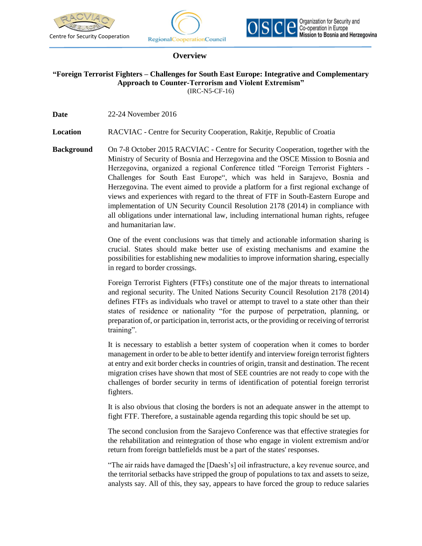

j





## **Overview**

## **"Foreign Terrorist Fighters – Challenges for South East Europe: Integrative and Complementary Approach to Counter-Terrorism and Violent Extremism"** (IRC-N5-CF-16)

**Date** 22-24 November 2016

**Location** RACVIAC - Centre for Security Cooperation, Rakitje, Republic of Croatia

**Background** On 7-8 October 2015 RACVIAC - Centre for Security Cooperation, together with the Ministry of Security of Bosnia and Herzegovina and the OSCE Mission to Bosnia and Herzegovina, organized a regional Conference titled "Foreign Terrorist Fighters - Challenges for South East Europe", which was held in Sarajevo, Bosnia and Herzegovina. The event aimed to provide a platform for a first regional exchange of views and experiences with regard to the threat of FTF in South-Eastern Europe and implementation of UN Security Council Resolution 2178 (2014) in compliance with all obligations under international law, including international human rights, refugee and humanitarian law.

> One of the event conclusions was that timely and actionable information sharing is crucial. States should make better use of existing mechanisms and examine the possibilities for establishing new modalities to improve information sharing, especially in regard to border crossings.

> Foreign Terrorist Fighters (FTFs) constitute one of the major threats to international and regional security. The United Nations Security Council Resolution 2178 (2014) defines FTFs as individuals who travel or attempt to travel to a state other than their states of residence or nationality "for the purpose of perpetration, planning, or preparation of, or participation in, terrorist acts, or the providing or receiving of terrorist training".

> It is necessary to establish a better system of cooperation when it comes to border management in order to be able to better identify and interview foreign terrorist fighters at entry and exit border checks in countries of origin, transit and destination. The recent migration crises have shown that most of SEE countries are not ready to cope with the challenges of border security in terms of identification of potential foreign terrorist fighters.

> It is also obvious that closing the borders is not an adequate answer in the attempt to fight FTF. Therefore, a sustainable agenda regarding this topic should be set up.

> The second conclusion from the Sarajevo Conference was that effective strategies for the rehabilitation and reintegration of those who engage in violent extremism and/or return from foreign battlefields must be a part of the states' responses.

> "The air raids have damaged the [Daesh's] oil infrastructure, a key revenue source, and the territorial setbacks have stripped the group of populations to tax and assets to seize, analysts say. All of this, they say, appears to have forced the group to reduce salaries